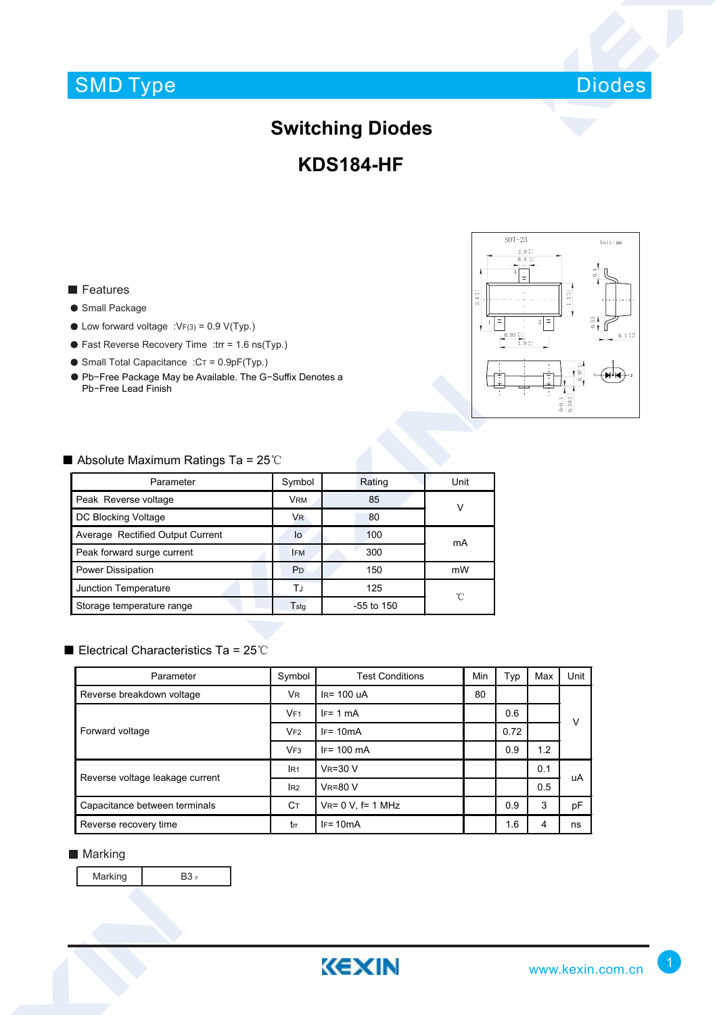# SMD Type



## **Switching Diodes**

### **KDS184-HF**

#### **Features**

- Small Package
- $\bullet$  Low forward voltage :VF(3) = 0.9 V(Typ.)
- Fast Reverse Recovery Time :trr = 1.6 ns(Typ.)
- $\bullet$  Small Total Capacitance :  $CT = 0.9pF(Typ.)$
- Pb−Free Package May be Available. The G−Suffix Denotes a Pb−Free Lead Finish



#### ■ Absolute Maximum Ratings Ta = 25℃

| Parameter                        | Symbol                      | Rating       | Unit |  |
|----------------------------------|-----------------------------|--------------|------|--|
| Peak Reverse voltage             | <b>VRM</b>                  | 85           | ν    |  |
| DC Blocking Voltage              | <b>VR</b>                   | 80           |      |  |
| Average Rectified Output Current | lo                          | 100          | mA   |  |
| Peak forward surge current       | <b>IFM</b>                  | 300          |      |  |
| Power Dissipation                | P <sub>D</sub>              | 150          | mW   |  |
| Junction Temperature             | TJ                          | 125          | 'n   |  |
| Storage temperature range        | $\mathsf{T}_{\mathsf{std}}$ | $-55$ to 150 |      |  |

#### ■ Electrical Characteristics Ta = 25℃

| Parameter                       | Symbol          | <b>Test Conditions</b>   | Min | Typ  | Max | Unit |  |
|---------------------------------|-----------------|--------------------------|-----|------|-----|------|--|
| Reverse breakdown voltage       | V <sub>R</sub>  | $IR = 100$ uA            | 80  |      |     |      |  |
| Forward voltage                 | VF1             | $IF = 1 mA$              |     | 0.6  |     | V    |  |
|                                 | VF2             | $IF = 10mA$              |     | 0.72 |     |      |  |
|                                 | VF <sub>3</sub> | $IF = 100 \text{ mA}$    |     | 0.9  | 1.2 |      |  |
| Reverse voltage leakage current | IR <sub>1</sub> | $V_R = 30 V$             |     |      | 0.1 | uA   |  |
|                                 | I <sub>R2</sub> | $V_R = 80 V$             |     |      | 0.5 |      |  |
| Capacitance between terminals   | Cт              | $V_{R} = 0 V$ , f= 1 MHz |     | 0.9  | 3   | рF   |  |
| Reverse recovery time           | tm              | $IF = 10mA$              |     | 1.6  | 4   | ns   |  |

#### **Marking**

Marking  $\parallel$  B3 F

**KEXIN**